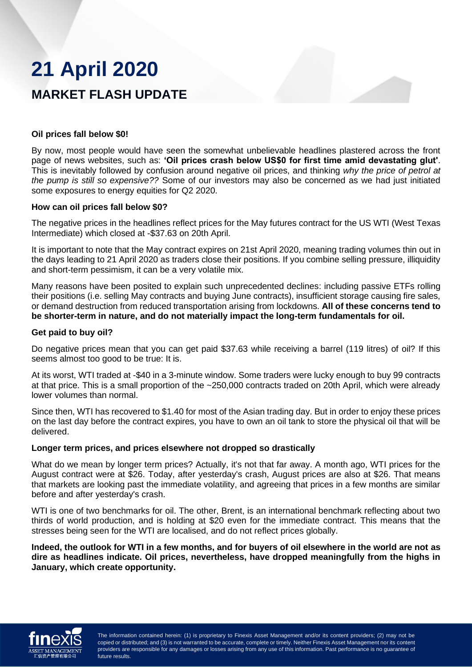# **21 April 2020**

# **MARKET FLASH UPDATE**

# **Oil prices fall below \$0!**

By now, most people would have seen the somewhat unbelievable headlines plastered across the front page of news websites, such as: **'Oil prices crash below US\$0 for first time amid devastating glut'**. This is inevitably followed by confusion around negative oil prices, and thinking *why the price of petrol at the pump is still so expensive??* Some of our investors may also be concerned as we had just initiated some exposures to energy equities for Q2 2020.

## **How can oil prices fall below \$0?**

The negative prices in the headlines reflect prices for the May futures contract for the US WTI (West Texas Intermediate) which closed at -\$37.63 on 20th April.

It is important to note that the May contract expires on 21st April 2020, meaning trading volumes thin out in the days leading to 21 April 2020 as traders close their positions. If you combine selling pressure, illiquidity and short-term pessimism, it can be a very volatile mix.

Many reasons have been posited to explain such unprecedented declines: including passive ETFs rolling their positions (i.e. selling May contracts and buying June contracts), insufficient storage causing fire sales, or demand destruction from reduced transportation arising from lockdowns. **All of these concerns tend to be shorter-term in nature, and do not materially impact the long-term fundamentals for oil.**

## **Get paid to buy oil?**

Do negative prices mean that you can get paid \$37.63 while receiving a barrel (119 litres) of oil? If this seems almost too good to be true: It is.

At its worst, WTI traded at -\$40 in a 3-minute window. Some traders were lucky enough to buy 99 contracts at that price. This is a small proportion of the ~250,000 contracts traded on 20th April, which were already lower volumes than normal.

Since then, WTI has recovered to \$1.40 for most of the Asian trading day. But in order to enjoy these prices on the last day before the contract expires, you have to own an oil tank to store the physical oil that will be delivered.

#### **Longer term prices, and prices elsewhere not dropped so drastically**

What do we mean by longer term prices? Actually, it's not that far away. A month ago, WTI prices for the August contract were at \$26. Today, after yesterday's crash, August prices are also at \$26. That means that markets are looking past the immediate volatility, and agreeing that prices in a few months are similar before and after yesterday's crash.

WTI is one of two benchmarks for oil. The other, Brent, is an international benchmark reflecting about two thirds of world production, and is holding at \$20 even for the immediate contract. This means that the stresses being seen for the WTI are localised, and do not reflect prices globally.

**Indeed, the outlook for WTI in a few months, and for buyers of oil elsewhere in the world are not as dire as headlines indicate. Oil prices, nevertheless, have dropped meaningfully from the highs in January, which create opportunity.**